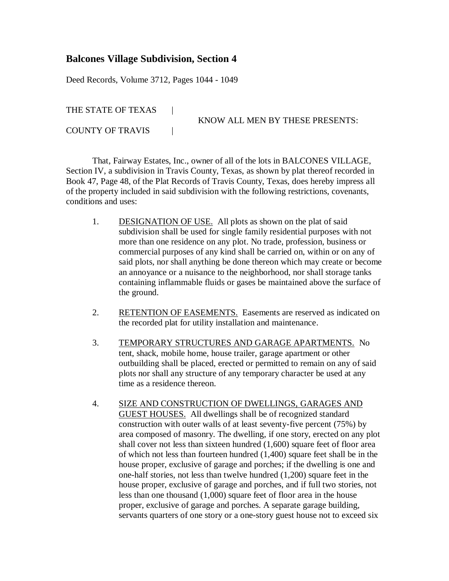## **Balcones Village Subdivision, Section 4**

Deed Records, Volume 3712, Pages 1044 - 1049

THE STATE OF TEXAS |

KNOW ALL MEN BY THESE PRESENTS:

COUNTY OF TRAVIS |

That, Fairway Estates, Inc., owner of all of the lots in BALCONES VILLAGE, Section IV, a subdivision in Travis County, Texas, as shown by plat thereof recorded in Book 47, Page 48, of the Plat Records of Travis County, Texas, does hereby impress all of the property included in said subdivision with the following restrictions, covenants, conditions and uses:

- 1. DESIGNATION OF USE. All plots as shown on the plat of said subdivision shall be used for single family residential purposes with not more than one residence on any plot. No trade, profession, business or commercial purposes of any kind shall be carried on, within or on any of said plots, nor shall anything be done thereon which may create or become an annoyance or a nuisance to the neighborhood, nor shall storage tanks containing inflammable fluids or gases be maintained above the surface of the ground.
- 2. RETENTION OF EASEMENTS. Easements are reserved as indicated on the recorded plat for utility installation and maintenance.
- 3. TEMPORARY STRUCTURES AND GARAGE APARTMENTS. No tent, shack, mobile home, house trailer, garage apartment or other outbuilding shall be placed, erected or permitted to remain on any of said plots nor shall any structure of any temporary character be used at any time as a residence thereon.
- 4. SIZE AND CONSTRUCTION OF DWELLINGS, GARAGES AND GUEST HOUSES. All dwellings shall be of recognized standard construction with outer walls of at least seventy-five percent (75%) by area composed of masonry. The dwelling, if one story, erected on any plot shall cover not less than sixteen hundred (1,600) square feet of floor area of which not less than fourteen hundred (1,400) square feet shall be in the house proper, exclusive of garage and porches; if the dwelling is one and one-half stories, not less than twelve hundred (1,200) square feet in the house proper, exclusive of garage and porches, and if full two stories, not less than one thousand (1,000) square feet of floor area in the house proper, exclusive of garage and porches. A separate garage building, servants quarters of one story or a one-story guest house not to exceed six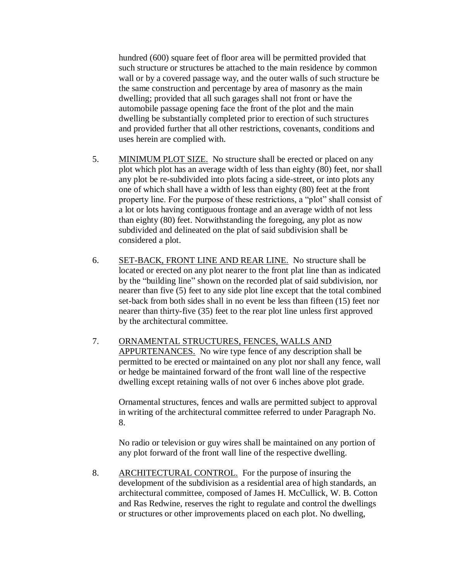hundred (600) square feet of floor area will be permitted provided that such structure or structures be attached to the main residence by common wall or by a covered passage way, and the outer walls of such structure be the same construction and percentage by area of masonry as the main dwelling; provided that all such garages shall not front or have the automobile passage opening face the front of the plot and the main dwelling be substantially completed prior to erection of such structures and provided further that all other restrictions, covenants, conditions and uses herein are complied with.

- 5. MINIMUM PLOT SIZE. No structure shall be erected or placed on any plot which plot has an average width of less than eighty (80) feet, nor shall any plot be re-subdivided into plots facing a side-street, or into plots any one of which shall have a width of less than eighty (80) feet at the front property line. For the purpose of these restrictions, a "plot" shall consist of a lot or lots having contiguous frontage and an average width of not less than eighty (80) feet. Notwithstanding the foregoing, any plot as now subdivided and delineated on the plat of said subdivision shall be considered a plot.
- 6. SET-BACK, FRONT LINE AND REAR LINE. No structure shall be located or erected on any plot nearer to the front plat line than as indicated by the "building line" shown on the recorded plat of said subdivision, nor nearer than five (5) feet to any side plot line except that the total combined set-back from both sides shall in no event be less than fifteen (15) feet nor nearer than thirty-five (35) feet to the rear plot line unless first approved by the architectural committee.
- 7. ORNAMENTAL STRUCTURES, FENCES, WALLS AND APPURTENANCES. No wire type fence of any description shall be permitted to be erected or maintained on any plot nor shall any fence, wall or hedge be maintained forward of the front wall line of the respective dwelling except retaining walls of not over 6 inches above plot grade.

Ornamental structures, fences and walls are permitted subject to approval in writing of the architectural committee referred to under Paragraph No. 8.

No radio or television or guy wires shall be maintained on any portion of any plot forward of the front wall line of the respective dwelling.

8. ARCHITECTURAL CONTROL. For the purpose of insuring the development of the subdivision as a residential area of high standards, an architectural committee, composed of James H. McCullick, W. B. Cotton and Ras Redwine, reserves the right to regulate and control the dwellings or structures or other improvements placed on each plot. No dwelling,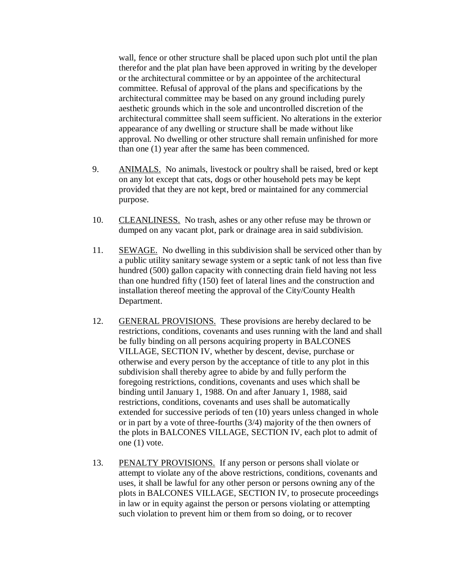wall, fence or other structure shall be placed upon such plot until the plan therefor and the plat plan have been approved in writing by the developer or the architectural committee or by an appointee of the architectural committee. Refusal of approval of the plans and specifications by the architectural committee may be based on any ground including purely aesthetic grounds which in the sole and uncontrolled discretion of the architectural committee shall seem sufficient. No alterations in the exterior appearance of any dwelling or structure shall be made without like approval. No dwelling or other structure shall remain unfinished for more than one (1) year after the same has been commenced.

- 9. ANIMALS. No animals, livestock or poultry shall be raised, bred or kept on any lot except that cats, dogs or other household pets may be kept provided that they are not kept, bred or maintained for any commercial purpose.
- 10. CLEANLINESS. No trash, ashes or any other refuse may be thrown or dumped on any vacant plot, park or drainage area in said subdivision.
- 11. SEWAGE. No dwelling in this subdivision shall be serviced other than by a public utility sanitary sewage system or a septic tank of not less than five hundred (500) gallon capacity with connecting drain field having not less than one hundred fifty (150) feet of lateral lines and the construction and installation thereof meeting the approval of the City/County Health Department.
- 12. GENERAL PROVISIONS. These provisions are hereby declared to be restrictions, conditions, covenants and uses running with the land and shall be fully binding on all persons acquiring property in BALCONES VILLAGE, SECTION IV, whether by descent, devise, purchase or otherwise and every person by the acceptance of title to any plot in this subdivision shall thereby agree to abide by and fully perform the foregoing restrictions, conditions, covenants and uses which shall be binding until January 1, 1988. On and after January 1, 1988, said restrictions, conditions, covenants and uses shall be automatically extended for successive periods of ten (10) years unless changed in whole or in part by a vote of three-fourths (3/4) majority of the then owners of the plots in BALCONES VILLAGE, SECTION IV, each plot to admit of one (1) vote.
- 13. PENALTY PROVISIONS. If any person or persons shall violate or attempt to violate any of the above restrictions, conditions, covenants and uses, it shall be lawful for any other person or persons owning any of the plots in BALCONES VILLAGE, SECTION IV, to prosecute proceedings in law or in equity against the person or persons violating or attempting such violation to prevent him or them from so doing, or to recover